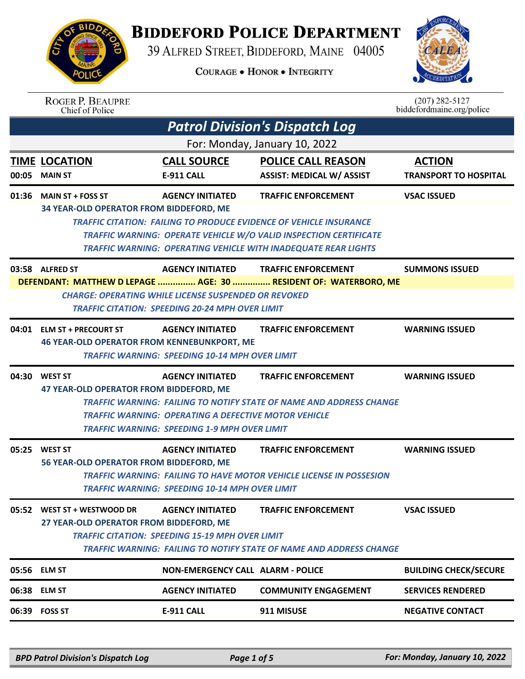

## **BIDDEFORD POLICE DEPARTMENT**

39 ALFRED STREET, BIDDEFORD, MAINE 04005

**COURAGE . HONOR . INTEGRITY** 



|       | <b>ROGER P. BEAUPRE</b><br>Chief of Police                                                                                                                                                |                                                                                                                                               |                                                                                                                                                                                                                                                              | $(207)$ 282-5127<br>biddefordmaine.org/police |  |
|-------|-------------------------------------------------------------------------------------------------------------------------------------------------------------------------------------------|-----------------------------------------------------------------------------------------------------------------------------------------------|--------------------------------------------------------------------------------------------------------------------------------------------------------------------------------------------------------------------------------------------------------------|-----------------------------------------------|--|
|       |                                                                                                                                                                                           |                                                                                                                                               | <b>Patrol Division's Dispatch Log</b>                                                                                                                                                                                                                        |                                               |  |
|       |                                                                                                                                                                                           |                                                                                                                                               | For: Monday, January 10, 2022                                                                                                                                                                                                                                |                                               |  |
|       | <b>TIME LOCATION</b><br>00:05 MAIN ST                                                                                                                                                     | <b>CALL SOURCE</b><br>E-911 CALL                                                                                                              | <b>POLICE CALL REASON</b><br><b>ASSIST: MEDICAL W/ ASSIST</b>                                                                                                                                                                                                | <b>ACTION</b><br><b>TRANSPORT TO HOSPITAL</b> |  |
|       | 01:36 MAIN ST + FOSS ST<br>34 YEAR-OLD OPERATOR FROM BIDDEFORD, ME                                                                                                                        | <b>AGENCY INITIATED</b>                                                                                                                       | <b>TRAFFIC ENFORCEMENT</b><br><b>TRAFFIC CITATION: FAILING TO PRODUCE EVIDENCE OF VEHICLE INSURANCE</b><br><b>TRAFFIC WARNING: OPERATE VEHICLE W/O VALID INSPECTION CERTIFICATE</b><br><b>TRAFFIC WARNING: OPERATING VEHICLE WITH INADEQUATE REAR LIGHTS</b> | <b>VSAC ISSUED</b>                            |  |
|       | 03:58 ALFRED ST                                                                                                                                                                           | <b>AGENCY INITIATED</b>                                                                                                                       | <b>TRAFFIC ENFORCEMENT</b>                                                                                                                                                                                                                                   | <b>SUMMONS ISSUED</b>                         |  |
|       | DEFENDANT: MATTHEW D LEPAGE  AGE: 30  RESIDENT OF: WATERBORO, ME<br><b>CHARGE: OPERATING WHILE LICENSE SUSPENDED OR REVOKED</b><br><b>TRAFFIC CITATION: SPEEDING 20-24 MPH OVER LIMIT</b> |                                                                                                                                               |                                                                                                                                                                                                                                                              |                                               |  |
|       | 04:01 ELM ST + PRECOURT ST<br><b>46 YEAR-OLD OPERATOR FROM KENNEBUNKPORT, ME</b>                                                                                                          | <b>AGENCY INITIATED</b><br><b>TRAFFIC WARNING: SPEEDING 10-14 MPH OVER LIMIT</b>                                                              | <b>TRAFFIC ENFORCEMENT</b>                                                                                                                                                                                                                                   | <b>WARNING ISSUED</b>                         |  |
| 04:30 | <b>WEST ST</b><br>47 YEAR-OLD OPERATOR FROM BIDDEFORD, ME                                                                                                                                 | <b>AGENCY INITIATED</b><br><b>TRAFFIC WARNING: OPERATING A DEFECTIVE MOTOR VEHICLE</b><br><b>TRAFFIC WARNING: SPEEDING 1-9 MPH OVER LIMIT</b> | <b>TRAFFIC ENFORCEMENT</b><br><b>TRAFFIC WARNING: FAILING TO NOTIFY STATE OF NAME AND ADDRESS CHANGE</b>                                                                                                                                                     | <b>WARNING ISSUED</b>                         |  |
| 05:25 | <b>WEST ST</b><br>56 YEAR-OLD OPERATOR FROM BIDDEFORD, ME                                                                                                                                 | <b>AGENCY INITIATED</b><br><b>TRAFFIC WARNING: SPEEDING 10-14 MPH OVER LIMIT</b>                                                              | <b>TRAFFIC ENFORCEMENT</b><br><b>TRAFFIC WARNING: FAILING TO HAVE MOTOR VEHICLE LICENSE IN POSSESION</b>                                                                                                                                                     | <b>WARNING ISSUED</b>                         |  |
|       | 05:52 WEST ST + WESTWOOD DR<br>27 YEAR-OLD OPERATOR FROM BIDDEFORD, ME                                                                                                                    | <b>AGENCY INITIATED</b><br><b>TRAFFIC CITATION: SPEEDING 15-19 MPH OVER LIMIT</b>                                                             | <b>TRAFFIC ENFORCEMENT</b><br>TRAFFIC WARNING: FAILING TO NOTIFY STATE OF NAME AND ADDRESS CHANGE                                                                                                                                                            | <b>VSAC ISSUED</b>                            |  |
|       | 05:56 ELM ST                                                                                                                                                                              | <b>NON-EMERGENCY CALL ALARM - POLICE</b>                                                                                                      |                                                                                                                                                                                                                                                              | <b>BUILDING CHECK/SECURE</b>                  |  |
|       | 06:38 ELM ST                                                                                                                                                                              | <b>AGENCY INITIATED</b>                                                                                                                       | <b>COMMUNITY ENGAGEMENT</b>                                                                                                                                                                                                                                  | <b>SERVICES RENDERED</b>                      |  |
|       | 06:39 FOSS ST                                                                                                                                                                             | <b>E-911 CALL</b>                                                                                                                             | 911 MISUSE                                                                                                                                                                                                                                                   | <b>NEGATIVE CONTACT</b>                       |  |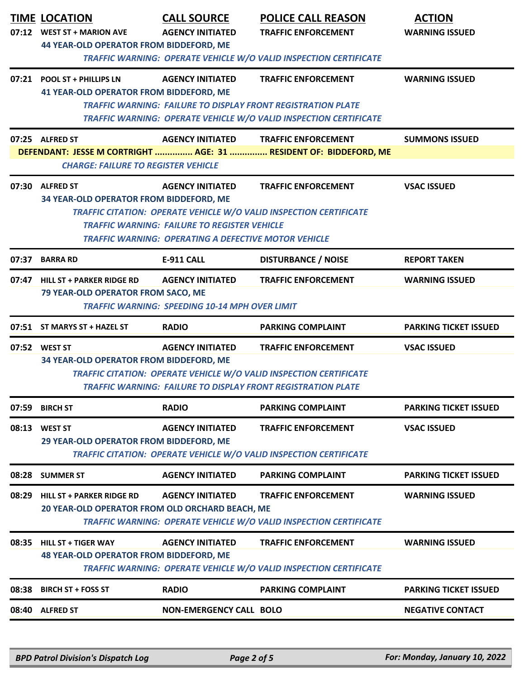|       | <b>TIME LOCATION</b><br>07:12 WEST ST + MARION AVE                                                                                       | <b>CALL SOURCE</b><br><b>AGENCY INITIATED</b>                                    | <b>POLICE CALL REASON</b><br><b>TRAFFIC ENFORCEMENT</b>                                                                                                                        | <b>ACTION</b><br><b>WARNING ISSUED</b> |  |
|-------|------------------------------------------------------------------------------------------------------------------------------------------|----------------------------------------------------------------------------------|--------------------------------------------------------------------------------------------------------------------------------------------------------------------------------|----------------------------------------|--|
|       | <b>44 YEAR-OLD OPERATOR FROM BIDDEFORD, ME</b><br><b>TRAFFIC WARNING: OPERATE VEHICLE W/O VALID INSPECTION CERTIFICATE</b>               |                                                                                  |                                                                                                                                                                                |                                        |  |
|       | 07:21 POOL ST + PHILLIPS LN<br><b>41 YEAR-OLD OPERATOR FROM BIDDEFORD, ME</b>                                                            | <b>AGENCY INITIATED</b>                                                          | <b>TRAFFIC ENFORCEMENT</b>                                                                                                                                                     | <b>WARNING ISSUED</b>                  |  |
|       | <b>TRAFFIC WARNING: FAILURE TO DISPLAY FRONT REGISTRATION PLATE</b><br>TRAFFIC WARNING: OPERATE VEHICLE W/O VALID INSPECTION CERTIFICATE |                                                                                  |                                                                                                                                                                                |                                        |  |
|       | 07:25 ALFRED ST                                                                                                                          | <b>AGENCY INITIATED</b>                                                          | <b>TRAFFIC ENFORCEMENT</b><br>DEFENDANT: JESSE M CORTRIGHT  AGE: 31  RESIDENT OF: BIDDEFORD, ME                                                                                | <b>SUMMONS ISSUED</b>                  |  |
|       | <b>CHARGE: FAILURE TO REGISTER VEHICLE</b>                                                                                               |                                                                                  |                                                                                                                                                                                |                                        |  |
|       | 07:30 ALFRED ST<br>34 YEAR-OLD OPERATOR FROM BIDDEFORD, ME                                                                               | <b>AGENCY INITIATED</b>                                                          | <b>TRAFFIC ENFORCEMENT</b><br><b>TRAFFIC CITATION: OPERATE VEHICLE W/O VALID INSPECTION CERTIFICATE</b>                                                                        | <b>VSAC ISSUED</b>                     |  |
|       | <b>TRAFFIC WARNING: FAILURE TO REGISTER VEHICLE</b><br><b>TRAFFIC WARNING: OPERATING A DEFECTIVE MOTOR VEHICLE</b>                       |                                                                                  |                                                                                                                                                                                |                                        |  |
| 07:37 | <b>BARRA RD</b>                                                                                                                          | <b>E-911 CALL</b>                                                                | <b>DISTURBANCE / NOISE</b>                                                                                                                                                     | <b>REPORT TAKEN</b>                    |  |
|       | 07:47 HILL ST + PARKER RIDGE RD<br>79 YEAR-OLD OPERATOR FROM SACO, ME                                                                    | <b>AGENCY INITIATED</b><br><b>TRAFFIC WARNING: SPEEDING 10-14 MPH OVER LIMIT</b> | <b>TRAFFIC ENFORCEMENT</b>                                                                                                                                                     | <b>WARNING ISSUED</b>                  |  |
|       | 07:51 ST MARYS ST + HAZEL ST                                                                                                             | <b>RADIO</b>                                                                     | <b>PARKING COMPLAINT</b>                                                                                                                                                       | <b>PARKING TICKET ISSUED</b>           |  |
|       | 07:52 WEST ST<br>34 YEAR-OLD OPERATOR FROM BIDDEFORD, ME                                                                                 | <b>AGENCY INITIATED</b>                                                          | <b>TRAFFIC ENFORCEMENT</b><br><b>TRAFFIC CITATION: OPERATE VEHICLE W/O VALID INSPECTION CERTIFICATE</b><br><b>TRAFFIC WARNING: FAILURE TO DISPLAY FRONT REGISTRATION PLATE</b> | <b>VSAC ISSUED</b>                     |  |
| 07:59 | <b>BIRCH ST</b>                                                                                                                          | <b>RADIO</b>                                                                     | <b>PARKING COMPLAINT</b>                                                                                                                                                       | <b>PARKING TICKET ISSUED</b>           |  |
| 08:13 | <b>WEST ST</b><br>29 YEAR-OLD OPERATOR FROM BIDDEFORD, ME                                                                                | <b>AGENCY INITIATED</b>                                                          | <b>TRAFFIC ENFORCEMENT</b>                                                                                                                                                     | <b>VSAC ISSUED</b>                     |  |
|       | <b>TRAFFIC CITATION: OPERATE VEHICLE W/O VALID INSPECTION CERTIFICATE</b>                                                                |                                                                                  |                                                                                                                                                                                |                                        |  |
|       | 08:28 SUMMER ST                                                                                                                          | <b>AGENCY INITIATED</b>                                                          | <b>PARKING COMPLAINT</b>                                                                                                                                                       | <b>PARKING TICKET ISSUED</b>           |  |
| 08:29 | <b>HILL ST + PARKER RIDGE RD</b>                                                                                                         | <b>AGENCY INITIATED</b>                                                          | <b>TRAFFIC ENFORCEMENT</b>                                                                                                                                                     | <b>WARNING ISSUED</b>                  |  |
|       | 20 YEAR-OLD OPERATOR FROM OLD ORCHARD BEACH, ME                                                                                          |                                                                                  | <b>TRAFFIC WARNING: OPERATE VEHICLE W/O VALID INSPECTION CERTIFICATE</b>                                                                                                       |                                        |  |
| 08:35 | <b>HILL ST + TIGER WAY</b><br><b>48 YEAR-OLD OPERATOR FROM BIDDEFORD, ME</b>                                                             | <b>AGENCY INITIATED</b>                                                          | <b>TRAFFIC ENFORCEMENT</b><br><b>TRAFFIC WARNING: OPERATE VEHICLE W/O VALID INSPECTION CERTIFICATE</b>                                                                         | <b>WARNING ISSUED</b>                  |  |
| 08:38 | <b>BIRCH ST + FOSS ST</b>                                                                                                                | <b>RADIO</b>                                                                     | <b>PARKING COMPLAINT</b>                                                                                                                                                       | <b>PARKING TICKET ISSUED</b>           |  |
|       | 08:40 ALFRED ST                                                                                                                          | <b>NON-EMERGENCY CALL BOLO</b>                                                   |                                                                                                                                                                                | <b>NEGATIVE CONTACT</b>                |  |
|       |                                                                                                                                          |                                                                                  |                                                                                                                                                                                |                                        |  |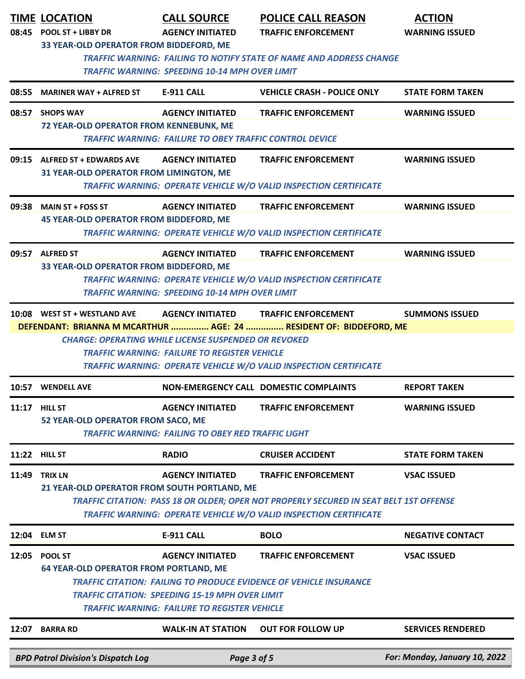|                      | <b>TIME LOCATION</b><br>08:45 POOL ST + LIBBY DR<br>33 YEAR-OLD OPERATOR FROM BIDDEFORD, ME                                                                                                                                                                                                                  | <b>CALL SOURCE</b><br><b>AGENCY INITIATED</b>                                                                                                 | <b>POLICE CALL REASON</b><br><b>TRAFFIC ENFORCEMENT</b>                                                                                                               | <b>ACTION</b><br><b>WARNING ISSUED</b> |  |
|----------------------|--------------------------------------------------------------------------------------------------------------------------------------------------------------------------------------------------------------------------------------------------------------------------------------------------------------|-----------------------------------------------------------------------------------------------------------------------------------------------|-----------------------------------------------------------------------------------------------------------------------------------------------------------------------|----------------------------------------|--|
|                      | <b>TRAFFIC WARNING: FAILING TO NOTIFY STATE OF NAME AND ADDRESS CHANGE</b><br><b>TRAFFIC WARNING: SPEEDING 10-14 MPH OVER LIMIT</b>                                                                                                                                                                          |                                                                                                                                               |                                                                                                                                                                       |                                        |  |
| 08:55                | <b>MARINER WAY + ALFRED ST</b>                                                                                                                                                                                                                                                                               | <b>E-911 CALL</b>                                                                                                                             | <b>VEHICLE CRASH - POLICE ONLY</b>                                                                                                                                    | <b>STATE FORM TAKEN</b>                |  |
|                      | 08:57 SHOPS WAY<br>72 YEAR-OLD OPERATOR FROM KENNEBUNK, ME                                                                                                                                                                                                                                                   | <b>AGENCY INITIATED</b><br><b>TRAFFIC WARNING: FAILURE TO OBEY TRAFFIC CONTROL DEVICE</b>                                                     | <b>TRAFFIC ENFORCEMENT</b>                                                                                                                                            | <b>WARNING ISSUED</b>                  |  |
|                      | 09:15 ALFRED ST + EDWARDS AVE<br>31 YEAR-OLD OPERATOR FROM LIMINGTON, ME                                                                                                                                                                                                                                     | <b>AGENCY INITIATED</b>                                                                                                                       | <b>TRAFFIC ENFORCEMENT</b><br><b>TRAFFIC WARNING: OPERATE VEHICLE W/O VALID INSPECTION CERTIFICATE</b>                                                                | <b>WARNING ISSUED</b>                  |  |
|                      | 09:38 MAIN ST + FOSS ST<br><b>45 YEAR-OLD OPERATOR FROM BIDDEFORD, ME</b>                                                                                                                                                                                                                                    | <b>AGENCY INITIATED</b>                                                                                                                       | <b>TRAFFIC ENFORCEMENT</b><br><b>TRAFFIC WARNING: OPERATE VEHICLE W/O VALID INSPECTION CERTIFICATE</b>                                                                | <b>WARNING ISSUED</b>                  |  |
|                      | 09:57 ALFRED ST<br>33 YEAR-OLD OPERATOR FROM BIDDEFORD, ME                                                                                                                                                                                                                                                   | <b>AGENCY INITIATED</b><br><b>TRAFFIC WARNING: SPEEDING 10-14 MPH OVER LIMIT</b>                                                              | <b>TRAFFIC ENFORCEMENT</b><br><b>TRAFFIC WARNING: OPERATE VEHICLE W/O VALID INSPECTION CERTIFICATE</b>                                                                | <b>WARNING ISSUED</b>                  |  |
|                      | 10:08 WEST ST + WESTLAND AVE                                                                                                                                                                                                                                                                                 | <b>AGENCY INITIATED</b><br><b>CHARGE: OPERATING WHILE LICENSE SUSPENDED OR REVOKED</b><br><b>TRAFFIC WARNING: FAILURE TO REGISTER VEHICLE</b> | <b>TRAFFIC ENFORCEMENT</b><br>DEFENDANT: BRIANNA M MCARTHUR  AGE: 24  RESIDENT OF: BIDDEFORD, ME<br>TRAFFIC WARNING: OPERATE VEHICLE W/O VALID INSPECTION CERTIFICATE | <b>SUMMONS ISSUED</b>                  |  |
|                      | 10:57 WENDELL AVE                                                                                                                                                                                                                                                                                            |                                                                                                                                               | NON-EMERGENCY CALL DOMESTIC COMPLAINTS                                                                                                                                | <b>REPORT TAKEN</b>                    |  |
| 11:17                | <b>HILL ST</b><br>52 YEAR-OLD OPERATOR FROM SACO, ME                                                                                                                                                                                                                                                         | <b>AGENCY INITIATED</b><br><b>TRAFFIC WARNING: FAILING TO OBEY RED TRAFFIC LIGHT</b>                                                          | <b>TRAFFIC ENFORCEMENT</b>                                                                                                                                            | <b>WARNING ISSUED</b>                  |  |
| <b>11:22 HILL ST</b> |                                                                                                                                                                                                                                                                                                              | <b>RADIO</b>                                                                                                                                  | <b>CRUISER ACCIDENT</b>                                                                                                                                               | <b>STATE FORM TAKEN</b>                |  |
| 11:49                | <b>TRIX LN</b><br><b>AGENCY INITIATED</b><br><b>TRAFFIC ENFORCEMENT</b><br><b>VSAC ISSUED</b><br>21 YEAR-OLD OPERATOR FROM SOUTH PORTLAND, ME<br>TRAFFIC CITATION: PASS 18 OR OLDER; OPER NOT PROPERLY SECURED IN SEAT BELT 1ST OFFENSE<br>TRAFFIC WARNING: OPERATE VEHICLE W/O VALID INSPECTION CERTIFICATE |                                                                                                                                               |                                                                                                                                                                       |                                        |  |
| 12:04                | <b>ELM ST</b>                                                                                                                                                                                                                                                                                                | <b>E-911 CALL</b>                                                                                                                             | <b>BOLO</b>                                                                                                                                                           | <b>NEGATIVE CONTACT</b>                |  |
| 12:05                | POOL ST<br><b>64 YEAR-OLD OPERATOR FROM PORTLAND, ME</b>                                                                                                                                                                                                                                                     | <b>AGENCY INITIATED</b><br><b>TRAFFIC CITATION: SPEEDING 15-19 MPH OVER LIMIT</b><br><b>TRAFFIC WARNING: FAILURE TO REGISTER VEHICLE</b>      | <b>TRAFFIC ENFORCEMENT</b><br><b>TRAFFIC CITATION: FAILING TO PRODUCE EVIDENCE OF VEHICLE INSURANCE</b>                                                               | <b>VSAC ISSUED</b>                     |  |
| 12:07                | <b>BARRA RD</b>                                                                                                                                                                                                                                                                                              | <b>WALK-IN AT STATION</b>                                                                                                                     | <b>OUT FOR FOLLOW UP</b>                                                                                                                                              | <b>SERVICES RENDERED</b>               |  |
|                      | <b>BPD Patrol Division's Dispatch Log</b>                                                                                                                                                                                                                                                                    | Page 3 of 5                                                                                                                                   |                                                                                                                                                                       | For: Monday, January 10, 2022          |  |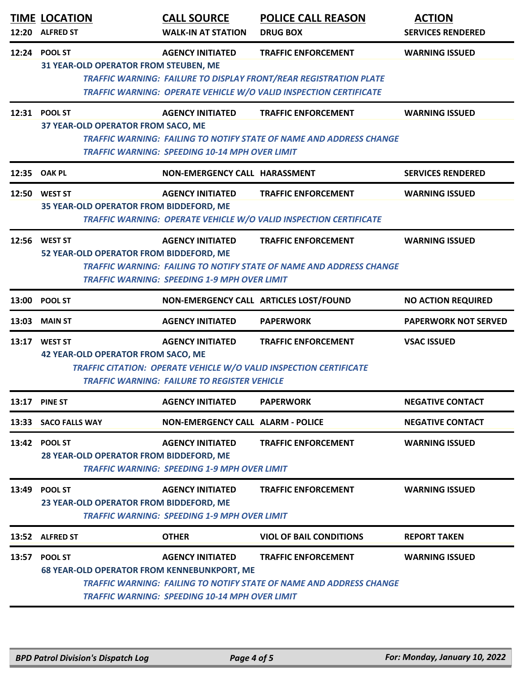|       | <b>TIME LOCATION</b><br>12:20 ALFRED ST                              | <b>CALL SOURCE</b><br><b>WALK-IN AT STATION</b>                                  | <b>POLICE CALL REASON</b><br><b>DRUG BOX</b>                                                                                                                                | <b>ACTION</b><br><b>SERVICES RENDERED</b> |
|-------|----------------------------------------------------------------------|----------------------------------------------------------------------------------|-----------------------------------------------------------------------------------------------------------------------------------------------------------------------------|-------------------------------------------|
|       | 12:24 POOL ST<br>31 YEAR-OLD OPERATOR FROM STEUBEN, ME               | <b>AGENCY INITIATED</b>                                                          | <b>TRAFFIC ENFORCEMENT</b><br><b>TRAFFIC WARNING: FAILURE TO DISPLAY FRONT/REAR REGISTRATION PLATE</b><br>TRAFFIC WARNING: OPERATE VEHICLE W/O VALID INSPECTION CERTIFICATE | <b>WARNING ISSUED</b>                     |
|       | 12:31 POOL ST<br>37 YEAR-OLD OPERATOR FROM SACO, ME                  | <b>AGENCY INITIATED</b><br><b>TRAFFIC WARNING: SPEEDING 10-14 MPH OVER LIMIT</b> | <b>TRAFFIC ENFORCEMENT</b><br><b>TRAFFIC WARNING: FAILING TO NOTIFY STATE OF NAME AND ADDRESS CHANGE</b>                                                                    | <b>WARNING ISSUED</b>                     |
|       | 12:35 OAK PL                                                         | NON-EMERGENCY CALL HARASSMENT                                                    |                                                                                                                                                                             | <b>SERVICES RENDERED</b>                  |
|       | 12:50 WEST ST<br>35 YEAR-OLD OPERATOR FROM BIDDEFORD, ME             | <b>AGENCY INITIATED</b>                                                          | <b>TRAFFIC ENFORCEMENT</b><br>TRAFFIC WARNING: OPERATE VEHICLE W/O VALID INSPECTION CERTIFICATE                                                                             | <b>WARNING ISSUED</b>                     |
|       | 12:56 WEST ST<br>52 YEAR-OLD OPERATOR FROM BIDDEFORD, ME             | <b>AGENCY INITIATED</b><br><b>TRAFFIC WARNING: SPEEDING 1-9 MPH OVER LIMIT</b>   | <b>TRAFFIC ENFORCEMENT</b><br><b>TRAFFIC WARNING: FAILING TO NOTIFY STATE OF NAME AND ADDRESS CHANGE</b>                                                                    | <b>WARNING ISSUED</b>                     |
| 13:00 | <b>POOL ST</b>                                                       |                                                                                  | NON-EMERGENCY CALL ARTICLES LOST/FOUND                                                                                                                                      | <b>NO ACTION REQUIRED</b>                 |
| 13:03 | <b>MAIN ST</b>                                                       | <b>AGENCY INITIATED</b>                                                          | <b>PAPERWORK</b>                                                                                                                                                            | <b>PAPERWORK NOT SERVED</b>               |
|       | 13:17 WEST ST<br><b>42 YEAR-OLD OPERATOR FROM SACO, ME</b>           | <b>AGENCY INITIATED</b><br><b>TRAFFIC WARNING: FAILURE TO REGISTER VEHICLE</b>   | <b>TRAFFIC ENFORCEMENT</b><br>TRAFFIC CITATION: OPERATE VEHICLE W/O VALID INSPECTION CERTIFICATE                                                                            | <b>VSAC ISSUED</b>                        |
| 13:17 | <b>PINE ST</b>                                                       | <b>AGENCY INITIATED</b>                                                          | <b>PAPERWORK</b>                                                                                                                                                            | <b>NEGATIVE CONTACT</b>                   |
|       | 13:33 SACO FALLS WAY                                                 | <b>NON-EMERGENCY CALL ALARM - POLICE</b>                                         |                                                                                                                                                                             | <b>NEGATIVE CONTACT</b>                   |
| 13:42 | <b>POOL ST</b><br>28 YEAR-OLD OPERATOR FROM BIDDEFORD, ME            | <b>AGENCY INITIATED</b><br><b>TRAFFIC WARNING: SPEEDING 1-9 MPH OVER LIMIT</b>   | <b>TRAFFIC ENFORCEMENT</b>                                                                                                                                                  | <b>WARNING ISSUED</b>                     |
| 13:49 | <b>POOL ST</b><br>23 YEAR-OLD OPERATOR FROM BIDDEFORD, ME            | <b>AGENCY INITIATED</b><br><b>TRAFFIC WARNING: SPEEDING 1-9 MPH OVER LIMIT</b>   | <b>TRAFFIC ENFORCEMENT</b>                                                                                                                                                  | <b>WARNING ISSUED</b>                     |
|       | 13:52 ALFRED ST                                                      | <b>OTHER</b>                                                                     | <b>VIOL OF BAIL CONDITIONS</b>                                                                                                                                              | <b>REPORT TAKEN</b>                       |
| 13:57 | <b>POOL ST</b><br><b>68 YEAR-OLD OPERATOR FROM KENNEBUNKPORT, ME</b> | <b>AGENCY INITIATED</b><br><b>TRAFFIC WARNING: SPEEDING 10-14 MPH OVER LIMIT</b> | <b>TRAFFIC ENFORCEMENT</b><br><b>TRAFFIC WARNING: FAILING TO NOTIFY STATE OF NAME AND ADDRESS CHANGE</b>                                                                    | <b>WARNING ISSUED</b>                     |